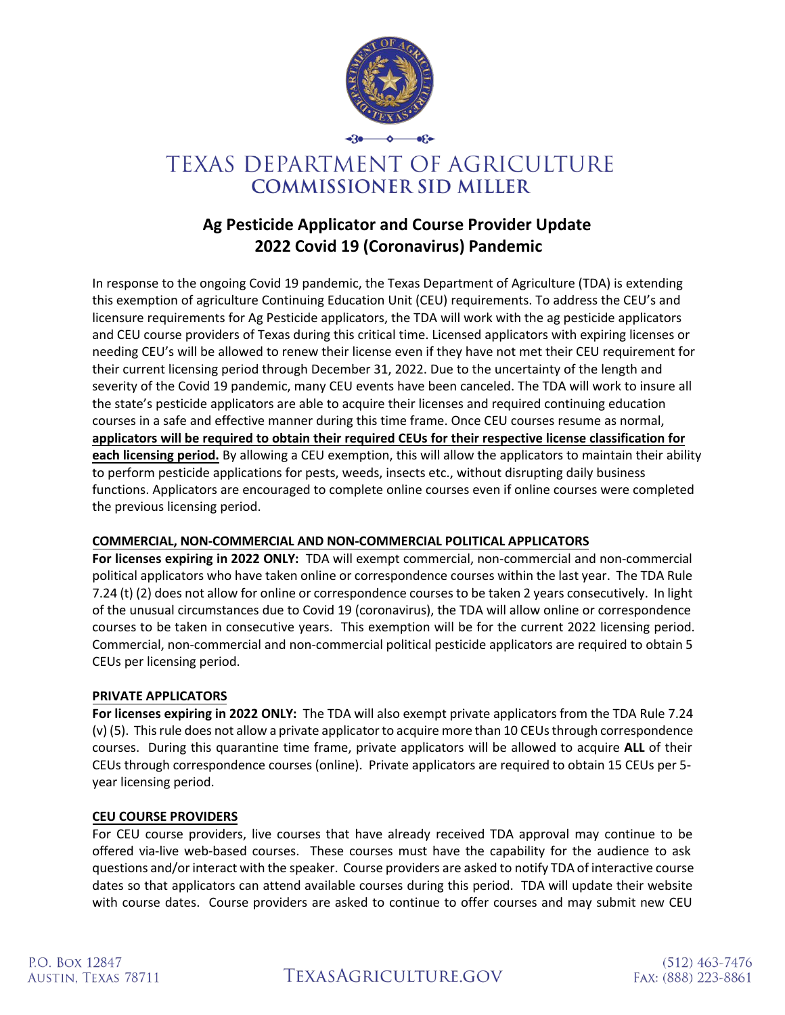

# TEXAS DEPARTMENT OF AGRICULTURE **COMMISSIONER SID MILLER**

## **Ag Pesticide Applicator and Course Provider Update 2022 Covid 19 (Coronavirus) Pandemic**

In response to the ongoing Covid 19 pandemic, the Texas Department of Agriculture (TDA) is extending this exemption of agriculture Continuing Education Unit (CEU) requirements. To address the CEU's and licensure requirements for Ag Pesticide applicators, the TDA will work with the ag pesticide applicators and CEU course providers of Texas during this critical time. Licensed applicators with expiring licenses or needing CEU's will be allowed to renew their license even if they have not met their CEU requirement for their current licensing period through December 31, 2022. Due to the uncertainty of the length and severity of the Covid 19 pandemic, many CEU events have been canceled. The TDA will work to insure all the state's pesticide applicators are able to acquire their licenses and required continuing education courses in a safe and effective manner during this time frame. Once CEU courses resume as normal, **applicators will be required to obtain their required CEUs for their respective license classification for each licensing period.** By allowing a CEU exemption, this will allow the applicators to maintain their ability to perform pesticide applications for pests, weeds, insects etc., without disrupting daily business functions. Applicators are encouraged to complete online courses even if online courses were completed the previous licensing period.

### **COMMERCIAL, NON-COMMERCIAL AND NON-COMMERCIAL POLITICAL APPLICATORS**

**For licenses expiring in 2022 ONLY:** TDA will exempt commercial, non-commercial and non-commercial political applicators who have taken online or correspondence courses within the last year. The TDA Rule 7.24 (t) (2) does not allow for online or correspondence courses to be taken 2 years consecutively. In light of the unusual circumstances due to Covid 19 (coronavirus), the TDA will allow online or correspondence courses to be taken in consecutive years. This exemption will be for the current 2022 licensing period. Commercial, non-commercial and non-commercial political pesticide applicators are required to obtain 5 CEUs per licensing period.

#### **PRIVATE APPLICATORS**

**For licenses expiring in 2022 ONLY:** The TDA will also exempt private applicators from the TDA Rule 7.24 (v) (5). This rule does not allow a private applicator to acquire more than 10 CEUs through correspondence courses. During this quarantine time frame, private applicators will be allowed to acquire **ALL** of their CEUs through correspondence courses (online). Private applicators are required to obtain 15 CEUs per 5 year licensing period.

#### **CEU COURSE PROVIDERS**

For CEU course providers, live courses that have already received TDA approval may continue to be offered via-live web-based courses. These courses must have the capability for the audience to ask questions and/or interact with the speaker. Course providers are asked to notify TDA of interactive course dates so that applicators can attend available courses during this period. TDA will update their website with course dates. Course providers are asked to continue to offer courses and may submit new CEU